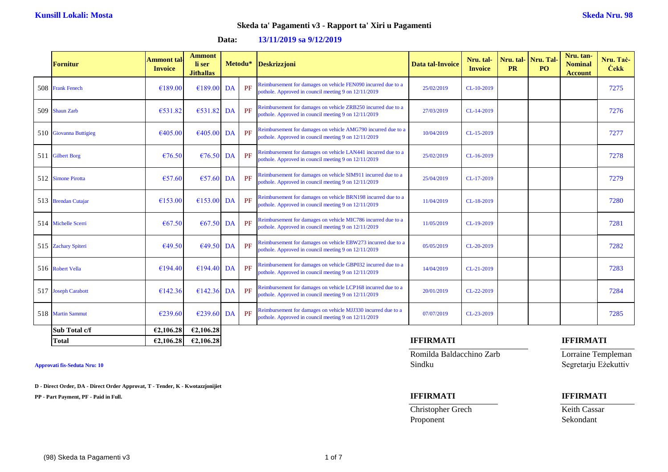| <b>Fornitur</b>        | <b>Ammont tal-</b><br><b>Invoice</b> | <b>Ammont</b><br>li ser<br><b>Jithallas</b> |    |    | Metodu* Deskrizzjoni                                                                                                  | <b>Data tal-Invoice</b> | Nru. tal-<br><b>Invoice</b> | Nru. tal-<br><b>PR</b> | Nru. Tal-<br>P <sub>O</sub> | Nru. tan-<br><b>Nominal</b><br><b>Account</b> | Nru. Tač-<br><b>Cekk</b> |
|------------------------|--------------------------------------|---------------------------------------------|----|----|-----------------------------------------------------------------------------------------------------------------------|-------------------------|-----------------------------|------------------------|-----------------------------|-----------------------------------------------|--------------------------|
| 508 Frank Fenech       | €189.00                              | €189.00                                     | DA | PF | Reimbursement for damages on vehicle FEN090 incurred due to a<br>pothole. Approved in council meeting 9 on 12/11/2019 | 25/02/2019              | CL-10-2019                  |                        |                             |                                               | 7275                     |
| 509 Shaun Zarb         | €531.82                              | €531.82 DA                                  |    | PF | Reimbursement for damages on vehicle ZRB250 incurred due to a<br>pothole. Approved in council meeting 9 on 12/11/2019 | 27/03/2019              | CL-14-2019                  |                        |                             |                                               | 7276                     |
| 510 Giovanna Buttigieg | €405.00                              | €405.00                                     | DA | PF | Reimbursement for damages on vehicle AMG790 incurred due to a<br>pothole. Approved in council meeting 9 on 12/11/2019 | 10/04/2019              | CL-15-2019                  |                        |                             |                                               | 7277                     |
| 511 Gilbert Borg       | €76.50                               | €76.50                                      | DA | PF | Reimbursement for damages on vehicle LAN441 incurred due to a<br>pothole. Approved in council meeting 9 on 12/11/2019 | 25/02/2019              | CL-16-2019                  |                        |                             |                                               | 7278                     |
| 512 Simone Pirotta     | €57.60                               | $\epsilon$ 57.60                            | DA | PF | Reimbursement for damages on vehicle SIM911 incurred due to a<br>pothole. Approved in council meeting 9 on 12/11/2019 | 25/04/2019              | CL-17-2019                  |                        |                             |                                               | 7279                     |
| 513 Brendan Cutajar    | €153.00                              | €153.00                                     | DA | PF | Reimbursement for damages on vehicle BRN198 incurred due to a<br>pothole. Approved in council meeting 9 on 12/11/2019 | 11/04/2019              | CL-18-2019                  |                        |                             |                                               | 7280                     |
| 514 Michelle Scerri    | €67.50                               | €67.50                                      | DA | PF | Reimbursement for damages on vehicle MIC786 incurred due to a<br>pothole. Approved in council meeting 9 on 12/11/2019 | 11/05/2019              | CL-19-2019                  |                        |                             |                                               | 7281                     |
| 515 Zachary Spiteri    | €49.50                               | €49.50 DA                                   |    | PF | Reimbursement for damages on vehicle EBW273 incurred due to a<br>pothole. Approved in council meeting 9 on 12/11/2019 | 05/05/2019              | CL-20-2019                  |                        |                             |                                               | 7282                     |
| 516 Robert Vella       | €194.40                              | €194.40 DA                                  |    | PF | Reimbursement for damages on vehicle GBP032 incurred due to a<br>pothole. Approved in council meeting 9 on 12/11/2019 | 14/04/2019              | CL-21-2019                  |                        |                             |                                               | 7283                     |
| 517 Joseph Carabott    | €142.36                              | $£142.36$ DA                                |    | PF | Reimbursement for damages on vehicle LCP168 incurred due to a<br>pothole. Approved in council meeting 9 on 12/11/2019 | 20/01/2019              | CL-22-2019                  |                        |                             |                                               | 7284                     |
| 518 Martin Sammut      | €239.60                              | €239.60                                     | DA | PF | Reimbursement for damages on vehicle MJJ330 incurred due to a<br>pothole. Approved in council meeting 9 on 12/11/2019 | 07/07/2019              | CL-23-2019                  |                        |                             |                                               | 7285                     |
| Sub Total c/f          | €2,106.28                            | €2,106.28                                   |    |    |                                                                                                                       |                         |                             |                        |                             |                                               |                          |
| <b>Total</b>           | €2,106.28                            | €2,106.28                                   |    |    |                                                                                                                       | <b>IFFIRMATI</b>        |                             |                        |                             | <b>IFFIRMATI</b>                              |                          |

### **Data: 13/11/2019 sa 9/12/2019**

**D - Direct Order, DA - Direct Order Approvat, T - Tender, K - Kwotazzjonijiet**

**PP - Part Payment, PF - Paid in Full. IFFIRMATI IFFIRMATI**

Romilda Baldacchino Zarb Lorraine Templeman **Approvati fis-Seduta Nru: 10** Sindku Segretarju Eżekuttiv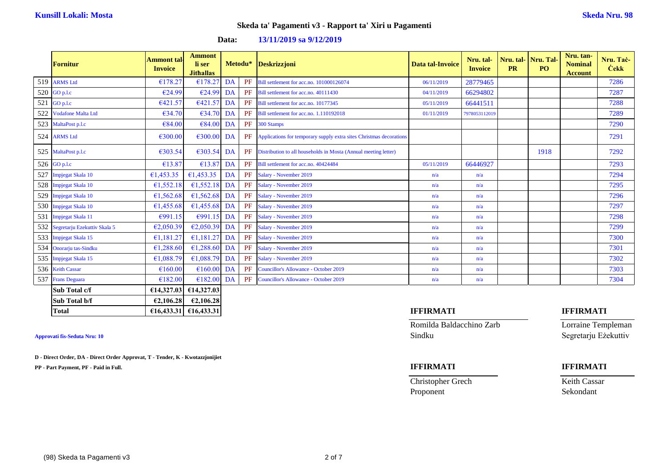|     | <b>Fornitur</b>                  | <b>Ammont tal</b><br><b>Invoice</b> | <b>Ammont</b><br>li ser<br><b>Jithallas</b> |           |          | Metodu* Deskrizzjoni                                                | Data tal-Invoice | Nru. tal-<br><b>Invoice</b> | Nru. tal-<br><b>PR</b> | Nru. Tal-<br>P <sub>O</sub> | Nru. tan-<br><b>Nominal</b><br><b>Account</b> | Nru. Tač-<br><b>Cekk</b> |
|-----|----------------------------------|-------------------------------------|---------------------------------------------|-----------|----------|---------------------------------------------------------------------|------------------|-----------------------------|------------------------|-----------------------------|-----------------------------------------------|--------------------------|
|     | 519 ARMS Ltd                     | €178.27                             | €178.27                                     | <b>DA</b> | PF       | Bill settlement for acc.no. 101000126074                            | 06/11/2019       | 28779465                    |                        |                             |                                               | 7286                     |
|     | 520 GO p.l.c                     | €24.99                              | €24.99                                      | DA        | PF       | Bill settlement for acc.no. 40111430                                | 04/11/2019       | 66294802                    |                        |                             |                                               | 7287                     |
| 521 | GO p.l.c                         | €421.57                             | €421.57                                     | DA        | PF       | Bill settlement for acc.no. 10177345                                | 05/11/2019       | 66441511                    |                        |                             |                                               | 7288                     |
|     | 522 Vodafone Malta Ltd           | €34.70                              | $€34.70$ DA                                 |           | PF       | Bill settlement for acc.no. 1.110192018                             | 01/11/2019       | 7978053112019               |                        |                             |                                               | 7289                     |
|     | 523 MaltaPost p.l.c              | €84.00                              | €84.00                                      | DA        | PF       | 300 Stamps                                                          |                  |                             |                        |                             |                                               | 7290                     |
|     | 524 ARMS Ltd                     | €300.00                             | €300.00                                     | DA        | PF       | Applications for temporary supply extra sites Christmas decorations |                  |                             |                        |                             |                                               | 7291                     |
|     | 525 MaltaPost p.l.c              | €303.54                             | $€303.54$ DA                                |           | PF       | Distribution to all households in Mosta (Annual meeting letter)     |                  |                             |                        | 1918                        |                                               | 7292                     |
|     | 526 GO p.l.c                     | €13.87                              | €13.87                                      | DA        | PF       | Bill settlement for acc.no. 40424484                                | 05/11/2019       | 66446927                    |                        |                             |                                               | 7293                     |
| 527 | Impjegat Skala 10                | €1,453.35                           | £1,453.35                                   | DA        | $\rm PF$ | Salary - November 2019                                              | n/a              | n/a                         |                        |                             |                                               | 7294                     |
| 528 | Impjegat Skala 10                | €1,552.18                           | £1,552.18                                   | DA        | PF       | Salary - November 2019                                              | n/a              | n/a                         |                        |                             |                                               | 7295                     |
|     | 529 Impjegat Skala 10            | €1,562.68                           | £1,562.68                                   | DA        | PF       | Salary - November 2019                                              | n/a              | n/a                         |                        |                             |                                               | 7296                     |
|     | 530 Impjegat Skala 10            | €1,455.68                           | €1,455.68                                   | DA        | PF       | Salary - November 2019                                              | n/a              | n/a                         |                        |                             |                                               | 7297                     |
|     | 531 Impjegat Skala 11            | €991.15                             | €991.15                                     | DA        | PF       | Salary - November 2019                                              | n/a              | n/a                         |                        |                             |                                               | 7298                     |
|     | 532 Segretarju Ezekuttiv Skala 5 | €2,050.39                           | E2,050.39                                   | DA        | PF       | Salary - November 2019                                              | n/a              | n/a                         |                        |                             |                                               | 7299                     |
|     | 533 Impjegat Skala 15            | €1,181.27                           | £1,181.27                                   | DA        | PF       | Salary - November 2019                                              | n/a              | n/a                         |                        |                             |                                               | 7300                     |
|     | 534 Onorarju tas-Sindku          | €1,288.60                           | €1,288.60 DA                                |           | PF       | Salary - November 2019                                              | n/a              | n/a                         |                        |                             |                                               | 7301                     |
|     | 535 Impjegat Skala 15            | €1,088.79                           | €1,088.79                                   | DA        | PF       | Salary - November 2019                                              | n/a              | n/a                         |                        |                             |                                               | 7302                     |
|     | 536 Keith Cassar                 | €160.00                             | €160.00                                     | DA        | PF       | Councillor's Allowance - October 2019                               | n/a              | n/a                         |                        |                             |                                               | 7303                     |
|     | 537 Frans Deguara                | €182.00                             | €182.00                                     | DA        | PF       | Councillor's Allowance - October 2019                               | n/a              | n/a                         |                        |                             |                                               | 7304                     |
|     | Sub Total c/f                    | €14,327.03                          | €14,327.03                                  |           |          |                                                                     |                  |                             |                        |                             |                                               |                          |
|     | Sub Total b/f                    | €2,106.28                           | E2,106.28                                   |           |          |                                                                     |                  |                             |                        |                             |                                               |                          |

### **Data: 13/11/2019 sa 9/12/2019**

**D - Direct Order, DA - Direct Order Approvat, T - Tender, K - Kwotazzjonijiet**

**PP - Part Payment, PF - Paid in Full. IFFIRMATI IFFIRMATI**

Romilda Baldacchino Zarb Lorraine Templeman **Approvati fis-Seduta Nru: 10** Sindku Segretarju Eżekuttiv

Christopher Grech Keith Cassar Proponent Sekondant

### **Total €16,433.31 €16,433.31 IFFIRMATI IFFIRMATI**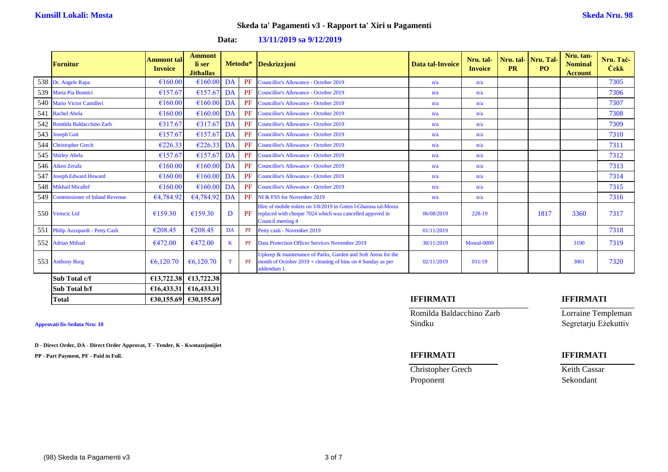| <b>Fornitur</b>                    | <b>Ammont</b> tal<br><b>Invoice</b> | <b>Ammont</b><br>li ser<br><b>Jithallas</b> |         | Metodu* | Deskrizzjoni                                                                                                                                     | Data tal-Invoice | Nru. tal-<br><b>Invoice</b> | <b>PR</b> | Nru. tal-Nru. Tal<br>PO <sub>1</sub> | Nru. tan-<br><b>Nominal</b><br><b>Account</b> | Nru. Tač-<br><b>Čekk</b> |
|------------------------------------|-------------------------------------|---------------------------------------------|---------|---------|--------------------------------------------------------------------------------------------------------------------------------------------------|------------------|-----------------------------|-----------|--------------------------------------|-----------------------------------------------|--------------------------|
| 538 Dr. Angele Rapa                | €160.00                             | €160.00                                     | DA      | PF      | <b>Councillor's Allowance - October 2019</b>                                                                                                     | n/a              | n/a                         |           |                                      |                                               | 7305                     |
| 539 Maria Pia Bonnici              | €157.67                             | €157.67                                     | DA      | PF      | <b>Councillor's Allowance - October 2019</b>                                                                                                     | n/a              | n/a                         |           |                                      |                                               | 7306                     |
| 540 Mario Victor Camilleri         | €160.00                             | €160.00                                     | DA      | PF      | <b>Councillor's Allowance - October 2019</b>                                                                                                     | n/a              | n/a                         |           |                                      |                                               | 7307                     |
| 541 Rachel Abela                   | €160.00                             | €160.00                                     | DA      | PF      | <b>Councillor's Allowance - October 2019</b>                                                                                                     | n/a              | n/a                         |           |                                      |                                               | 7308                     |
| 542 Romilda Baldacchino Zarb       | €317.67                             | €317.67                                     | DA      | PF      | <b>Councillor's Allowance - October 2019</b>                                                                                                     | n/a              | n/a                         |           |                                      |                                               | 7309                     |
| 543 Joseph Gatt                    | €157.67                             | €157.67                                     | DA      | PF      | <b>Councillor's Allowance - October 2019</b>                                                                                                     | n/a              | n/a                         |           |                                      |                                               | 7310                     |
| 544 Christopher Grech              | €226.33                             | €226.33                                     | DA      | PF      | <b>Councillor's Allowance - October 2019</b>                                                                                                     | n/a              | n/a                         |           |                                      |                                               | 7311                     |
| 545 Shirley Abela                  | €157.67                             | €157.67                                     | DA      | PF      | <b>Councillor's Allowance - October 2019</b>                                                                                                     | n/a              | n/a                         |           |                                      |                                               | 7312                     |
| 546 Aiken Zerafa                   | €160.00                             | €160.00                                     | DA      | PF      | <b>Councillor's Allowance - October 2019</b>                                                                                                     | n/a              | n/a                         |           |                                      |                                               | 7313                     |
| 547 Joseph Edward Howard           | €160.00                             | €160.00                                     | DA      | PF      | <b>Councillor's Allowance - October 2019</b>                                                                                                     | n/a              | n/a                         |           |                                      |                                               | 7314                     |
| 548 Mikhail Micallef               | €160.00                             | €160.00                                     | DA      | PF      | <b>Councillor's Allowance - October 2019</b>                                                                                                     | n/a              | n/a                         |           |                                      |                                               | 7315                     |
| 549 Commissioner of Inland Revenue | €4,784.92                           | €4,784.92                                   | DA      | PF      | NI & FSS for November 2019                                                                                                                       | n/a              | n/a                         |           |                                      |                                               | 7316                     |
| 550 Venscic Ltd                    | €159.30                             | €159.30                                     | D       | PF      | Hire of mobile toilets on 3/8/2019 in Gnien 1-Gharusa tal-Mosta<br>replaced with cheque 7024 which was cancelled appoved in<br>Council meeting 4 | 06/08/2019       | 228-19                      |           | 1817                                 | 3360                                          | 7317                     |
| 551 Philip Azzopardi - Petty Cash  | €208.45                             | €208.45                                     | DA      | PF      | Petty cash - November 2019                                                                                                                       | 01/11/2019       |                             |           |                                      |                                               | 7318                     |
| 552 Adrian Mifsud                  | €472.00                             | €472.00                                     | $\bf K$ | PF      | <b>Data Protection Officer Services November 2019</b>                                                                                            | 30/11/2019       | Mostal-0009                 |           |                                      | 3190                                          | 7319                     |
| 553 Anthony Borg                   | €6,120,70                           | €6.120.70                                   | T       | PF      | Upkeep & maintenance of Parks, Garden and Soft Areas for the<br>month of October $2019 +$ cleaning of bins on 4 Sunday as per<br>addendum 1.     | 02/11/2019       | 011/19                      |           |                                      | 3061                                          | 7320                     |
| Sub Total c/f                      | €13,722.38                          | €13,722.38                                  |         |         |                                                                                                                                                  |                  |                             |           |                                      |                                               |                          |
| Sub Total b/f                      |                                     | $\epsilon$ 16,433.31 $\epsilon$ 16,433.31   |         |         |                                                                                                                                                  |                  |                             |           |                                      |                                               |                          |

### **Data: 13/11/2019 sa 9/12/2019**

**D - Direct Order, DA - Direct Order Approvat, T - Tender, K - Kwotazzjonijiet**

**PP - Part Payment, PF - Paid in Full. IFFIRMATI IFFIRMATI**

### **Total €30,155.69 €30,155.69 IFFIRMATI IFFIRMATI**

Romilda Baldacchino Zarb Lorraine Templeman **Approvati fis-Seduta Nru: 10** Sindku Segretarju Eżekuttiv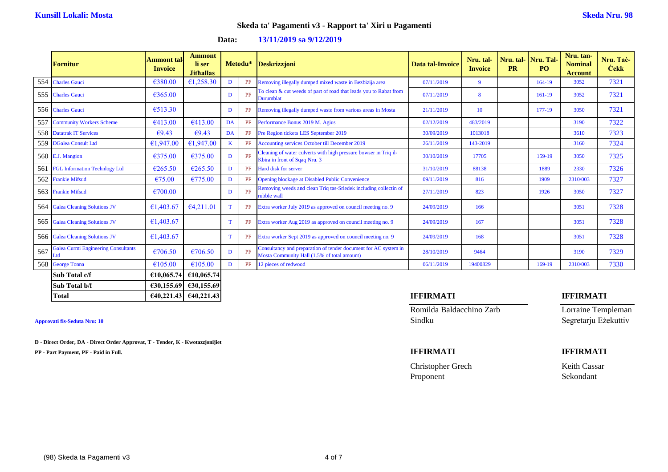|     | <b>Fornitur</b>                                   | <b>Ammont tal-</b><br><b>Invoice</b> | <b>Ammont</b><br>li ser<br><b>Jithallas</b> |              |    | Metodu* Deskrizzjoni                                                                                           | <b>Data tal-Invoice</b> | Nru. tal-<br><b>Invoice</b> | <b>PR</b> | Nru. tal-Nru. Tal-<br>P <sub>O</sub> | Nru. tan-<br><b>Nominal</b><br><b>Account</b> | Nru. Tač-<br><b>Cekk</b> |
|-----|---------------------------------------------------|--------------------------------------|---------------------------------------------|--------------|----|----------------------------------------------------------------------------------------------------------------|-------------------------|-----------------------------|-----------|--------------------------------------|-----------------------------------------------|--------------------------|
|     | 554 Charles Gauci                                 | €380.00                              | €1,258.30                                   | D            | PF | Removing illegally dumped mixed waste in Bezbizija area                                                        | 07/11/2019              | $\mathbf{Q}$                |           | 164-19                               | 3052                                          | 7321                     |
|     | 555 Charles Gauci                                 | €365.00                              |                                             | D            | PF | To clean & cut weeds of part of road that leads you to Rabat from<br><b>Durumblat</b>                          | 07/11/2019              | 8                           |           | 161-19                               | 3052                                          | 7321                     |
|     | 556 Charles Gauci                                 | €513.30                              |                                             | D            | PF | Removing illegally dumped waste from various areas in Mosta                                                    | 21/11/2019              | 10                          |           | 177-19                               | 3050                                          | 7321                     |
|     | 557 Community Workers Scheme                      | €413.00                              | €413.00                                     | DA           | PF | Performance Bonus 2019 M. Agius                                                                                | 02/12/2019              | 483/2019                    |           |                                      | 3190                                          | 7322                     |
|     | 558 Datatrak IT Services                          | €9.43                                | €9.43                                       | DA           | PF | Pre Region tickets LES September 2019                                                                          | 30/09/2019              | 1013018                     |           |                                      | 3610                                          | 7323                     |
|     | 559 DGalea Consult Ltd                            | €1,947.00                            | €1,947.00                                   | $\mathbf{K}$ | PF | Accounting services October till December 2019                                                                 | 26/11/2019              | 143-2019                    |           |                                      | 3160                                          | 7324                     |
|     | 560 E.J. Mangion                                  | €375.00                              | €375.00                                     | D            | PF | Cleaning of water culverts with high pressure bowser in Triq il-<br>Kbira in front of Sqaq Nru. 3              | 30/10/2019              | 17705                       |           | 159-19                               | 3050                                          | 7325                     |
|     | 561 FGL Information Technlogy Ltd                 | €265.50                              | €265.50                                     | D            | PF | Hard disk for server                                                                                           | 31/10/2019              | 88138                       |           | 1889                                 | 2330                                          | 7326                     |
|     | 562 Frankie Mifsud                                | €75.00                               | €775.00                                     | D            | PF | <b>Opening blockage at Disabled Public Convenience</b>                                                         | 09/11/2019              | 816                         |           | 1909                                 | 2310/003                                      | 7327                     |
|     | 563 Frankie Mifsud                                | €700.00                              |                                             | D            | PF | Removing weeds and clean Triq tas-Sriedek including collectin of<br>rubble wall                                | 27/11/2019              | 823                         |           | 1926                                 | 3050                                          | 7327                     |
|     | 564 Galea Cleaning Solutions JV                   | €1,403.67                            | E4,211.01                                   | T            | PF | Extra worker July 2019 as approved on council meeting no. 9                                                    | 24/09/2019              | 166                         |           |                                      | 3051                                          | 7328                     |
|     | 565 Galea Cleaning Solutions JV                   | €1,403.67                            |                                             | T            | PF | Extra worker Aug 2019 as approved on council meeting no. 9                                                     | 24/09/2019              | 167                         |           |                                      | 3051                                          | 7328                     |
|     | 566 Galea Cleaning Solutions JV                   | €1,403.67                            |                                             | T            | PF | Extra worker Sept 2019 as approved on council meeting no. 9                                                    | 24/09/2019              | 168                         |           |                                      | 3051                                          | 7328                     |
| 567 | <b>Galea Curmi Engineering Consultants</b><br>Ltd | €706.50                              | €706.50                                     | D            | PF | Consultancy and preparation of tender document for AC system in<br>Mosta Community Hall (1.5% of total amount) | 28/10/2019              | 9464                        |           |                                      | 3190                                          | 7329                     |
|     | 568 George Tonna                                  | €105.00                              | €105.00                                     | D            | PF | 12 pieces of redwood                                                                                           | 06/11/2019              | 19400829                    |           | 169-19                               | 2310/003                                      | 7330                     |
|     | Sub Total c/f                                     | €10,065.74                           | €10,065.74                                  |              |    |                                                                                                                |                         |                             |           |                                      |                                               |                          |

### **Data: 13/11/2019 sa 9/12/2019**

**D - Direct Order, DA - Direct Order Approvat, T - Tender, K - Kwotazzjonijiet**

**Sub Total b/f €30,155.69 €30,155.69**

**PP - Part Payment, PF - Paid in Full. IFFIRMATI IFFIRMATI**

Romilda Baldacchino Zarb Lorraine Templeman **Approvati fis-Seduta Nru: 10** Sindku Segretarju Eżekuttiv

**Christopher Grech** Keith Cassar Proponent Sekondant

**Total €40,221.43 €40,221.43 IFFIRMATI IFFIRMATI**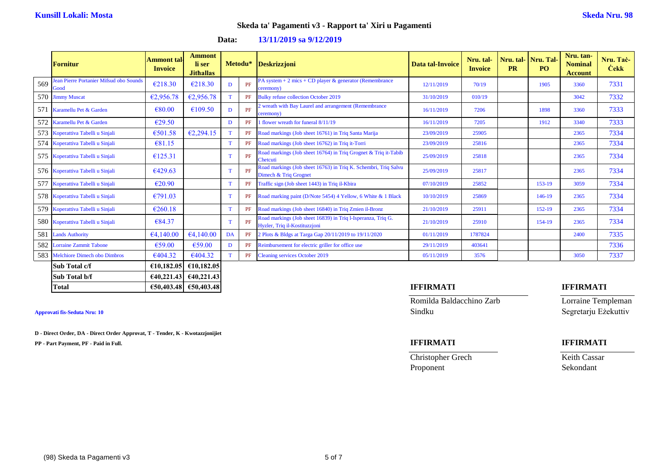|     | <b>Fornitur</b>                                        | Ammont tal·<br><b>Invoice</b> | <b>Ammont</b><br>li ser<br><b>Jithallas</b> |    |    | Metodu* Deskrizzjoni                                                                          | Data tal-Invoice | Nru. tal-<br><b>Invoice</b> | <b>PR</b> | Nru. tal- Nru. Tal-<br>PO <sub>1</sub> | Nru. tan-<br><b>Nominal</b><br><b>Account</b> | Nru. Taċ-<br><b>Cekk</b> |
|-----|--------------------------------------------------------|-------------------------------|---------------------------------------------|----|----|-----------------------------------------------------------------------------------------------|------------------|-----------------------------|-----------|----------------------------------------|-----------------------------------------------|--------------------------|
| 569 | <b>Jean Pierre Portanier Mifsud obo Sounds</b><br>Good | €218.30                       | €218.30                                     | D  | PF | PA system $+2$ mics $+$ CD player & generator (Remembrance<br>ceremony                        | 12/11/2019       | 70/19                       |           | 1905                                   | 3360                                          | 7331                     |
|     | 570 Jimmy Muscat                                       | €2,956.78                     | €2,956.78                                   | T  | PF | <b>Bulky refuse collection October 2019</b>                                                   | 31/10/2019       | 010/19                      |           |                                        | 3042                                          | 7332                     |
| 571 | Karamellu Pet & Garden                                 | €80.00                        | €109.50                                     | D  | PF | 2 wreath with Bay Laurel and arrangement (Remembrance<br>ceremony)                            | 16/11/2019       | 7206                        |           | 1898                                   | 3360                                          | 7333                     |
|     | 572 Karamellu Pet & Garden                             | €29.50                        |                                             | D  | PF | 1 flower wreath for funeral 8/11/19                                                           | 16/11/2019       | 7205                        |           | 1912                                   | 3340                                          | 7333                     |
|     | 573 Koperattiva Tabelli u Sinjali                      | €501.58                       | E2,294.15                                   | T  | PF | Road markings (Job sheet 16761) in Triq Santa Marija                                          | 23/09/2019       | 25905                       |           |                                        | 2365                                          | 7334                     |
|     | 574 Koperattiva Tabelli u Sinjali                      | €81.15                        |                                             | T. | PF | Road markings (Job sheet 16762) in Triq it-Torri                                              | 23/09/2019       | 25816                       |           |                                        | 2365                                          | 7334                     |
|     | 575 Koperattiva Tabelli u Sinjali                      | €125.31                       |                                             | T  | PF | Road markings (Job sheet 16764) in Triq Grognet & Triq it-Tabib<br>Chetcuti                   | 25/09/2019       | 25818                       |           |                                        | 2365                                          | 7334                     |
|     | 576 Koperattiva Tabelli u Sinjali                      | €429.63                       |                                             | T. | PF | Road markings (Job sheet 16763) in Triq K. Schembri, Triq Salvu<br>Dimech & Triq Grognet      | 25/09/2019       | 25817                       |           |                                        | 2365                                          | 7334                     |
|     | 577 Koperattiva Tabelli u Sinjali                      | €20.90                        |                                             | T. | PF | Traffic sign (Job sheet 1443) in Triq il-Kbira                                                | 07/10/2019       | 25852                       |           | $153-19$                               | 3059                                          | 7334                     |
|     | 578 Koperattiva Tabelli u Sinjali                      | €791.03                       |                                             | T  | PF | Road marking paint (D/Note 5454) 4 Yellow, 6 White & 1 Black                                  | 10/10/2019       | 25869                       |           | 146-19                                 | 2365                                          | 7334                     |
|     | 579 Koperattiva Tabelli u Sinjali                      | €260.18                       |                                             | T  | PF | Road markings (Job sheet 16840) in Triq Zmien il-Bronz                                        | 21/10/2019       | 25911                       |           | $152 - 19$                             | 2365                                          | 7334                     |
|     | 580 Koperattiva Tabelli u Sinjali                      | €84.37                        |                                             | T  | PF | Road markings (Job sheet 16839) in Triq l-Isperanza, Triq G.<br>Hyzler, Triq il-Kostituzzjoni | 21/10/2019       | 25910                       |           | 154-19                                 | 2365                                          | 7334                     |
|     | 581 Lands Authority                                    | 64,140.00                     | €4,140.00                                   | DA | PF | 2 Plots & Bldgs at Targa Gap 20/11/2019 to 19/11/2020                                         | 01/11/2019       | 1787824                     |           |                                        | 2400                                          | 7335                     |
| 582 | <b>Lorraine Zammit Tabone</b>                          | €59.00                        | €59.00                                      | D  | PF | Reimbursement for electric griller for office use                                             | 29/11/2019       | 403641                      |           |                                        |                                               | 7336                     |
| 583 | <b>Melchiore Dimech obo Dimbros</b>                    | €404.32                       | €404.32                                     | T. | PF | <b>Cleaning services October 2019</b>                                                         | 05/11/2019       | 3576                        |           |                                        | 3050                                          | 7337                     |
|     | Sub Total c/f                                          |                               | €10,182.05 €10,182.05                       |    |    |                                                                                               |                  |                             |           |                                        |                                               |                          |

### **Data: 13/11/2019 sa 9/12/2019**

# **Sub Total b/f €40,221.43 €40,221.43 Total €50,403.48 €50,403.48 IFFIRMATI IFFIRMATI**

**D - Direct Order, DA - Direct Order Approvat, T - Tender, K - Kwotazzjonijiet**

**PP - Part Payment, PF - Paid in Full. IFFIRMATI IFFIRMATI**

Romilda Baldacchino Zarb Lorraine Templeman Approvati fis-Seduta Nru: 10 Segretarju Eżekuttiv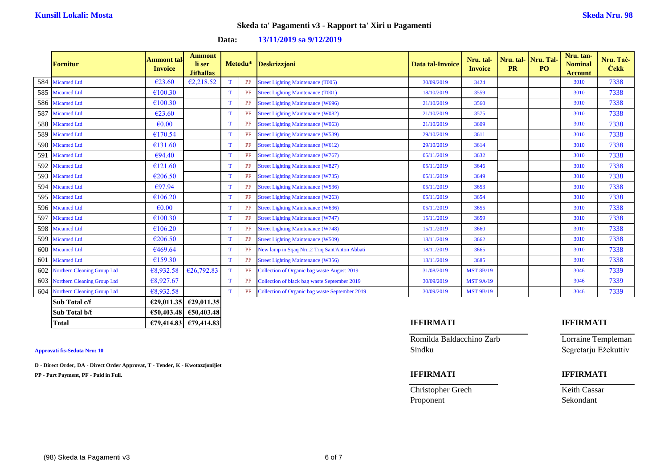|     | <b>Fornitur</b>                    | <b>Ammont tal</b><br><b>Invoice</b> | <b>Ammont</b><br>li ser<br><b>Jithallas</b> |    |          | Metodu* Deskrizzjoni                           | Data tal-Invoice | Nru. tal-<br><b>Invoice</b> | Nru. tal-<br><b>PR</b> | Nru. Tal-<br>PO <sub>1</sub> | Nru. tan-<br><b>Nominal</b><br><b>Account</b> | Nru. Tač-<br><b>Cekk</b> |
|-----|------------------------------------|-------------------------------------|---------------------------------------------|----|----------|------------------------------------------------|------------------|-----------------------------|------------------------|------------------------------|-----------------------------------------------|--------------------------|
|     | 584 Micamed Ltd                    | €23.60                              | E2,218.52                                   | T. | PF       | <b>Street Lighting Maintenance (T005)</b>      | 30/09/2019       | 3424                        |                        |                              | 3010                                          | 7338                     |
|     | 585 Micamed Ltd                    | €100.30                             |                                             | T. | $\rm PF$ | <b>Street Lighting Maintenance (T001)</b>      | 18/10/2019       | 3559                        |                        |                              | 3010                                          | 7338                     |
|     | 586 Micamed Ltd                    | €100.30                             |                                             | T. | PF       | <b>Street Lighting Maintenance (W696)</b>      | 21/10/2019       | 3560                        |                        |                              | 3010                                          | 7338                     |
|     | 587 Micamed Ltd                    | €23.60                              |                                             | T  | PF       | <b>Street Lighting Maintenance (W082)</b>      | 21/10/2019       | 3575                        |                        |                              | 3010                                          | 7338                     |
|     | 588 Micamed Ltd                    | $\epsilon$ <sub>0.00</sub>          |                                             | T  | PF       | <b>Street Lighting Maintenance (W063)</b>      | 21/10/2019       | 3609                        |                        |                              | 3010                                          | 7338                     |
|     | 589 Micamed Ltd                    | €170.54                             |                                             | T  | PF       | <b>Street Lighting Maintenance (W539)</b>      | 29/10/2019       | 3611                        |                        |                              | 3010                                          | 7338                     |
|     | 590 Micamed Ltd                    | €131.60                             |                                             | T. | PF       | <b>Street Lighting Maintenance (W612)</b>      | 29/10/2019       | 3614                        |                        |                              | 3010                                          | 7338                     |
| 591 | <b>Micamed Ltd</b>                 | €94.40                              |                                             | T. | $\rm PF$ | <b>Street Lighting Maintenance (W767)</b>      | 05/11/2019       | 3632                        |                        |                              | 3010                                          | 7338                     |
|     | 592 Micamed Ltd                    | €121.60                             |                                             | T. | PF       | <b>Street Lighting Maintenance (W827)</b>      | 05/11/2019       | 3646                        |                        |                              | 3010                                          | 7338                     |
|     | 593 Micamed Ltd                    | €206.50                             |                                             | T. | PF       | <b>Street Lighting Maintenance (W735)</b>      | 05/11/2019       | 3649                        |                        |                              | 3010                                          | 7338                     |
|     | 594 Micamed Ltd                    | €97.94                              |                                             | T  | PF       | <b>Street Lighting Maintenance (W536)</b>      | 05/11/2019       | 3653                        |                        |                              | 3010                                          | 7338                     |
|     | 595 Micamed Ltd                    | €106.20                             |                                             | T  | PF       | <b>Street Lighting Maintenance (W263)</b>      | 05/11/2019       | 3654                        |                        |                              | 3010                                          | 7338                     |
|     | 596 Micamed Ltd                    | $\epsilon$ <sub>0.00</sub>          |                                             | T  | PF       | <b>Street Lighting Maintenance (W636)</b>      | 05/11/2019       | 3655                        |                        |                              | 3010                                          | 7338                     |
|     | 597 Micamed Ltd                    | €100.30                             |                                             | T. | PF       | <b>Street Lighting Maintenance (W747)</b>      | 15/11/2019       | 3659                        |                        |                              | 3010                                          | 7338                     |
|     | 598 Micamed Ltd                    | €106.20                             |                                             | T  | PF       | <b>Street Lighting Maintenance (W748)</b>      | 15/11/2019       | 3660                        |                        |                              | 3010                                          | 7338                     |
|     | 599 Micamed Ltd                    | €206.50                             |                                             | T  | PF       | <b>Street Lighting Maintenance (W509)</b>      | 18/11/2019       | 3662                        |                        |                              | 3010                                          | 7338                     |
|     | 600 Micamed Ltd                    | €469.64                             |                                             | T  | PF       | New lamp in Sqaq Nru.2 Triq Sant'Anton Abbati  | 18/11/2019       | 3665                        |                        |                              | 3010                                          | 7338                     |
| 601 | <b>Micamed Ltd</b>                 | €159.30                             |                                             | T. | PF       | <b>Street Lighting Maintenance (W356)</b>      | 18/11/2019       | 3685                        |                        |                              | 3010                                          | 7338                     |
| 602 | <b>Northern Cleaning Group Ltd</b> | €8,932.58                           | €26,792.83                                  | T. | PF       | Collection of Organic bag waste August 2019    | 31/08/2019       | <b>MST 8B/19</b>            |                        |                              | 3046                                          | 7339                     |
|     | 603 Northern Cleaning Group Ltd    | €8,927.67                           |                                             | T. | PF       | Collection of black bag waste September 2019   | 30/09/2019       | <b>MST 9A/19</b>            |                        |                              | 3046                                          | 7339                     |
|     | 604 Northern Cleaning Group Ltd    | €8,932.58                           |                                             | T. | PF       | Collection of Organic bag waste September 2019 | 30/09/2019       | <b>MST 9B/19</b>            |                        |                              | 3046                                          | 7339                     |
|     | Sub Total c/f                      |                                     | €29,011.35 €29,011.35                       |    |          |                                                |                  |                             |                        |                              |                                               |                          |
|     | Sub Total b/f                      |                                     | €50,403.48 €50,403.48                       |    |          |                                                |                  |                             |                        |                              |                                               |                          |

### **Data: 13/11/2019 sa 9/12/2019**

**D - Direct Order, DA - Direct Order Approvat, T - Tender, K - Kwotazzjonijiet**

**PP - Part Payment, PF - Paid in Full. IFFIRMATI IFFIRMATI**

Romilda Baldacchino Zarb Lorraine Templeman **Approvati fis-Seduta Nru: 10** Sindku Segretarju Eżekuttiv

**Christopher Grech** Keith Cassar Proponent Sekondant

# **Total €79,414.83 €79,414.83 IFFIRMATI IFFIRMATI**